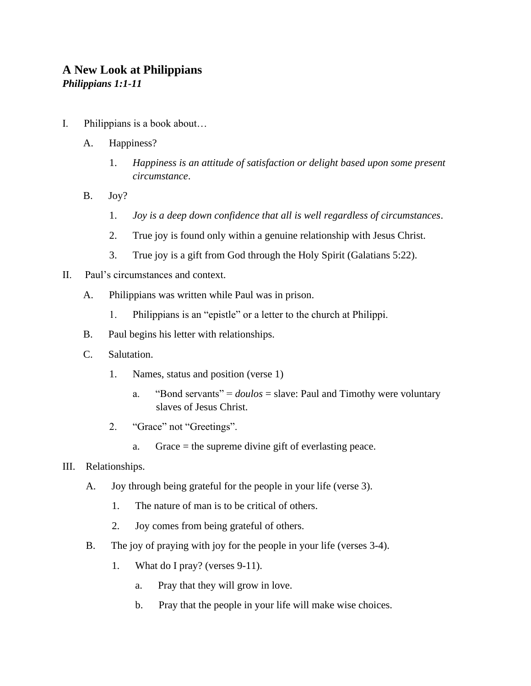# **A New Look at Philippians** *Philippians 1:1-11*

- I. Philippians is a book about…
	- A. Happiness?
		- 1. *Happiness is an attitude of satisfaction or delight based upon some present circumstance*.
	- B. Joy?
		- 1. *Joy is a deep down confidence that all is well regardless of circumstances*.
		- 2. True joy is found only within a genuine relationship with Jesus Christ.
		- 3. True joy is a gift from God through the Holy Spirit (Galatians 5:22).
- II. Paul's circumstances and context.
	- A. Philippians was written while Paul was in prison.
		- 1. Philippians is an "epistle" or a letter to the church at Philippi.
	- B. Paul begins his letter with relationships.
	- C. Salutation.
		- 1. Names, status and position (verse 1)
			- a. "Bond servants" = *doulos* = slave: Paul and Timothy were voluntary slaves of Jesus Christ.
		- 2. "Grace" not "Greetings".
			- a. Grace = the supreme divine gift of everlasting peace.
- III. Relationships.
	- A. Joy through being grateful for the people in your life (verse 3).
		- 1. The nature of man is to be critical of others.
		- 2. Joy comes from being grateful of others.
	- B. The joy of praying with joy for the people in your life (verses 3-4).
		- 1. What do I pray? (verses 9-11).
			- a. Pray that they will grow in love.
			- b. Pray that the people in your life will make wise choices.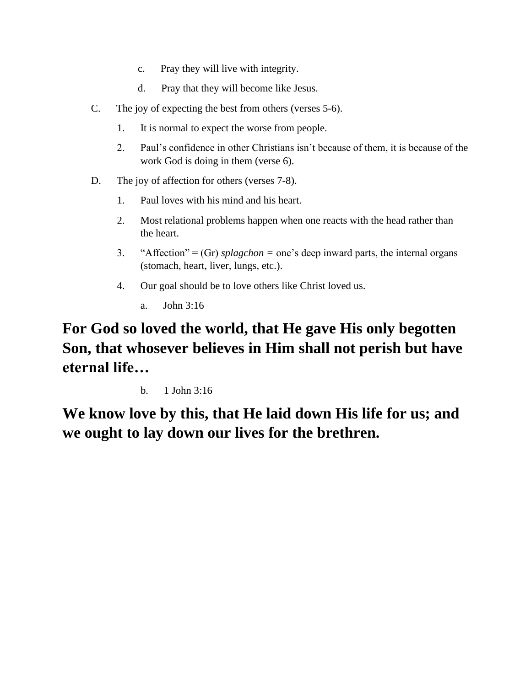- c. Pray they will live with integrity.
- d. Pray that they will become like Jesus.
- C. The joy of expecting the best from others (verses 5-6).
	- 1. It is normal to expect the worse from people.
	- 2. Paul's confidence in other Christians isn't because of them, it is because of the work God is doing in them (verse 6).
- D. The joy of affection for others (verses 7-8).
	- 1. Paul loves with his mind and his heart.
	- 2. Most relational problems happen when one reacts with the head rather than the heart.
	- 3. "Affection" =  $(Gr)$  *splagchon* = one's deep inward parts, the internal organs (stomach, heart, liver, lungs, etc.).
	- 4. Our goal should be to love others like Christ loved us.
		- a. John 3:16

**For God so loved the world, that He gave His only begotten Son, that whosever believes in Him shall not perish but have eternal life…** 

b. 1 John 3:16

**We know love by this, that He laid down His life for us; and we ought to lay down our lives for the brethren.**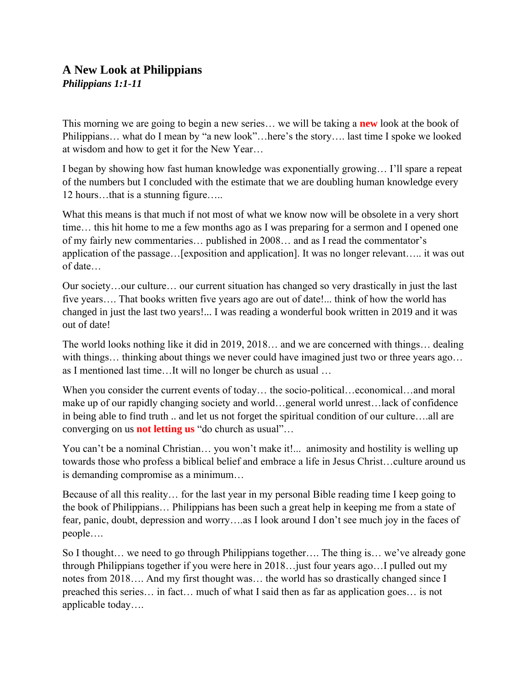# **A New Look at Philippians** *Philippians 1:1-11*

This morning we are going to begin a new series… we will be taking a **new** look at the book of Philippians… what do I mean by "a new look"…here's the story…. last time I spoke we looked at wisdom and how to get it for the New Year…

I began by showing how fast human knowledge was exponentially growing… I'll spare a repeat of the numbers but I concluded with the estimate that we are doubling human knowledge every 12 hours…that is a stunning figure…..

What this means is that much if not most of what we know now will be obsolete in a very short time… this hit home to me a few months ago as I was preparing for a sermon and I opened one of my fairly new commentaries… published in 2008… and as I read the commentator's application of the passage…[exposition and application]. It was no longer relevant….. it was out of date…

Our society…our culture… our current situation has changed so very drastically in just the last five years…. That books written five years ago are out of date!... think of how the world has changed in just the last two years!... I was reading a wonderful book written in 2019 and it was out of date!

The world looks nothing like it did in 2019, 2018… and we are concerned with things… dealing with things... thinking about things we never could have imagined just two or three years ago... as I mentioned last time…It will no longer be church as usual …

When you consider the current events of today... the socio-political...economical...and moral make up of our rapidly changing society and world…general world unrest…lack of confidence in being able to find truth .. and let us not forget the spiritual condition of our culture….all are converging on us **not letting us** "do church as usual"…

You can't be a nominal Christian... you won't make it!... animosity and hostility is welling up towards those who profess a biblical belief and embrace a life in Jesus Christ…culture around us is demanding compromise as a minimum…

Because of all this reality… for the last year in my personal Bible reading time I keep going to the book of Philippians… Philippians has been such a great help in keeping me from a state of fear, panic, doubt, depression and worry….as I look around I don't see much joy in the faces of people….

So I thought… we need to go through Philippians together…. The thing is… we've already gone through Philippians together if you were here in 2018…just four years ago…I pulled out my notes from 2018…. And my first thought was… the world has so drastically changed since I preached this series… in fact… much of what I said then as far as application goes… is not applicable today….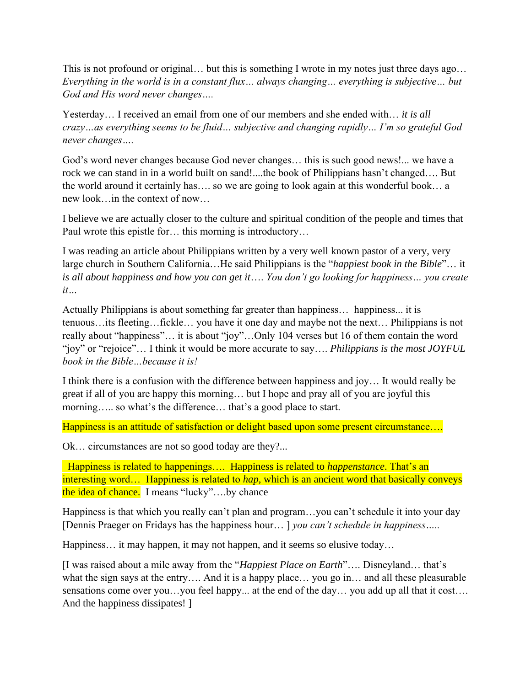This is not profound or original… but this is something I wrote in my notes just three days ago… *Everything in the world is in a constant flux… always changing… everything is subjective… but God and His word never changes….* 

Yesterday… I received an email from one of our members and she ended with… *it is all crazy…as everything seems to be fluid… subjective and changing rapidly… I'm so grateful God never changes….* 

God's word never changes because God never changes… this is such good news!... we have a rock we can stand in in a world built on sand!....the book of Philippians hasn't changed…. But the world around it certainly has…. so we are going to look again at this wonderful book… a new look…in the context of now…

I believe we are actually closer to the culture and spiritual condition of the people and times that Paul wrote this epistle for… this morning is introductory…

I was reading an article about Philippians written by a very well known pastor of a very, very large church in Southern California…He said Philippians is the "*happiest book in the Bible*"… it *is all about happiness and how you can get it*…. *You don't go looking for happiness… you create it…* 

Actually Philippians is about something far greater than happiness… happiness... it is tenuous…its fleeting…fickle… you have it one day and maybe not the next… Philippians is not really about "happiness"… it is about "joy"…Only 104 verses but 16 of them contain the word "joy" or "rejoice"… I think it would be more accurate to say…. *Philippians is the most JOYFUL book in the Bible…because it is!* 

I think there is a confusion with the difference between happiness and joy… It would really be great if all of you are happy this morning… but I hope and pray all of you are joyful this morning….. so what's the difference… that's a good place to start.

Happiness is an attitude of satisfaction or delight based upon some present circumstance....

Ok… circumstances are not so good today are they?...

Happiness is related to happenings…. Happiness is related to *happenstance*. That's an interesting word… Happiness is related to *hap*, which is an ancient word that basically conveys the idea of chance. I means "lucky"….by chance

Happiness is that which you really can't plan and program…you can't schedule it into your day [Dennis Praeger on Fridays has the happiness hour… ] *you can't schedule in happiness…..* 

Happiness... it may happen, it may not happen, and it seems so elusive today...

[I was raised about a mile away from the "*Happiest Place on Earth*"…. Disneyland… that's what the sign says at the entry…. And it is a happy place… you go in… and all these pleasurable sensations come over you...you feel happy... at the end of the day... you add up all that it cost.... And the happiness dissipates! ]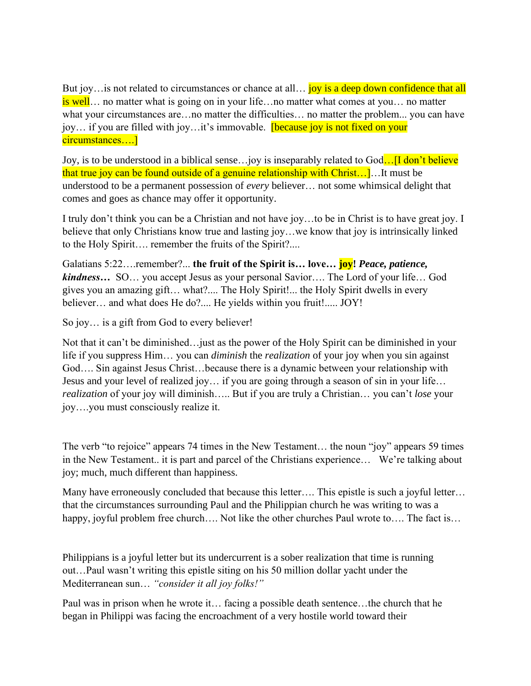But joy…is not related to circumstances or chance at all… joy is a deep down confidence that all is well… no matter what is going on in your life…no matter what comes at you… no matter what your circumstances are…no matter the difficulties… no matter the problem... you can have joy... if you are filled with joy...it's immovable. **[because joy is not fixed on your** circumstances….]

Joy, is to be understood in a biblical sense...joy is inseparably related to God....<sup>[I don't believe</sup> that true joy can be found outside of a genuine relationship with Christ…]…It must be understood to be a permanent possession of *every* believer… not some whimsical delight that comes and goes as chance may offer it opportunity.

I truly don't think you can be a Christian and not have joy…to be in Christ is to have great joy. I believe that only Christians know true and lasting joy…we know that joy is intrinsically linked to the Holy Spirit…. remember the fruits of the Spirit?....

Galatians 5:22….remember?... **the fruit of the Spirit is… love… joy!** *Peace, patience, kindness…* SO… you accept Jesus as your personal Savior…. The Lord of your life… God gives you an amazing gift… what?.... The Holy Spirit!... the Holy Spirit dwells in every believer… and what does He do?.... He yields within you fruit!..... JOY!

So joy… is a gift from God to every believer!

Not that it can't be diminished…just as the power of the Holy Spirit can be diminished in your life if you suppress Him… you can *diminish* the *realization* of your joy when you sin against God…. Sin against Jesus Christ…because there is a dynamic between your relationship with Jesus and your level of realized joy… if you are going through a season of sin in your life… *realization* of your joy will diminish….. But if you are truly a Christian… you can't *lose* your joy….you must consciously realize it.

The verb "to rejoice" appears 74 times in the New Testament… the noun "joy" appears 59 times in the New Testament.. it is part and parcel of the Christians experience… We're talking about joy; much, much different than happiness.

Many have erroneously concluded that because this letter…. This epistle is such a joyful letter… that the circumstances surrounding Paul and the Philippian church he was writing to was a happy, joyful problem free church…. Not like the other churches Paul wrote to…. The fact is…

Philippians is a joyful letter but its undercurrent is a sober realization that time is running out…Paul wasn't writing this epistle siting on his 50 million dollar yacht under the Mediterranean sun… *"consider it all joy folks!"*

Paul was in prison when he wrote it… facing a possible death sentence…the church that he began in Philippi was facing the encroachment of a very hostile world toward their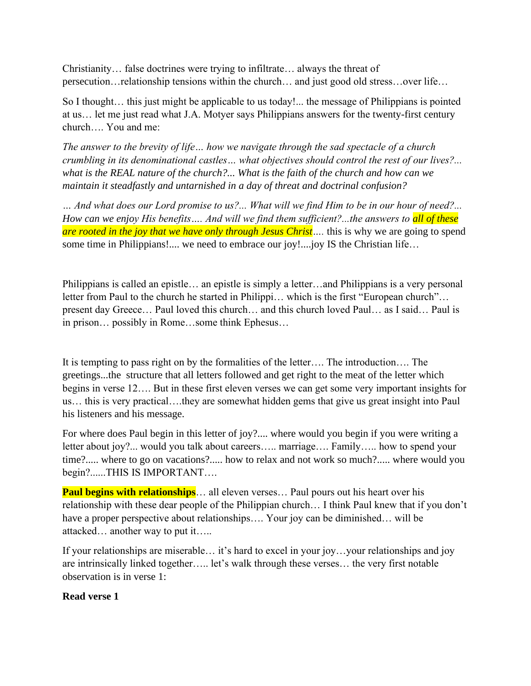Christianity… false doctrines were trying to infiltrate… always the threat of persecution…relationship tensions within the church… and just good old stress…over life…

So I thought… this just might be applicable to us today!... the message of Philippians is pointed at us… let me just read what J.A. Motyer says Philippians answers for the twenty-first century church…. You and me:

*The answer to the brevity of life… how we navigate through the sad spectacle of a church crumbling in its denominational castles… what objectives should control the rest of our lives?... what is the REAL nature of the church?... What is the faith of the church and how can we maintain it steadfastly and untarnished in a day of threat and doctrinal confusion?*

*… And what does our Lord promise to us?... What will we find Him to be in our hour of need?... How can we enjoy His benefits…. And will we find them sufficient?...the answers to all of these are rooted in the joy that we have only through Jesus Christ* .... this is why we are going to spend some time in Philippians!.... we need to embrace our joy!....joy IS the Christian life...

Philippians is called an epistle… an epistle is simply a letter…and Philippians is a very personal letter from Paul to the church he started in Philippi… which is the first "European church"… present day Greece… Paul loved this church… and this church loved Paul… as I said… Paul is in prison… possibly in Rome…some think Ephesus…

It is tempting to pass right on by the formalities of the letter…. The introduction…. The greetings...the structure that all letters followed and get right to the meat of the letter which begins in verse 12…. But in these first eleven verses we can get some very important insights for us… this is very practical….they are somewhat hidden gems that give us great insight into Paul his listeners and his message.

For where does Paul begin in this letter of joy?.... where would you begin if you were writing a letter about joy?... would you talk about careers….. marriage…. Family….. how to spend your time?..... where to go on vacations?..... how to relax and not work so much?..... where would you begin?......THIS IS IMPORTANT….

**Paul begins with relationships**... all eleven verses... Paul pours out his heart over his relationship with these dear people of the Philippian church… I think Paul knew that if you don't have a proper perspective about relationships.... Your joy can be diminished... will be attacked… another way to put it…..

If your relationships are miserable… it's hard to excel in your joy…your relationships and joy are intrinsically linked together….. let's walk through these verses… the very first notable observation is in verse 1:

#### **Read verse 1**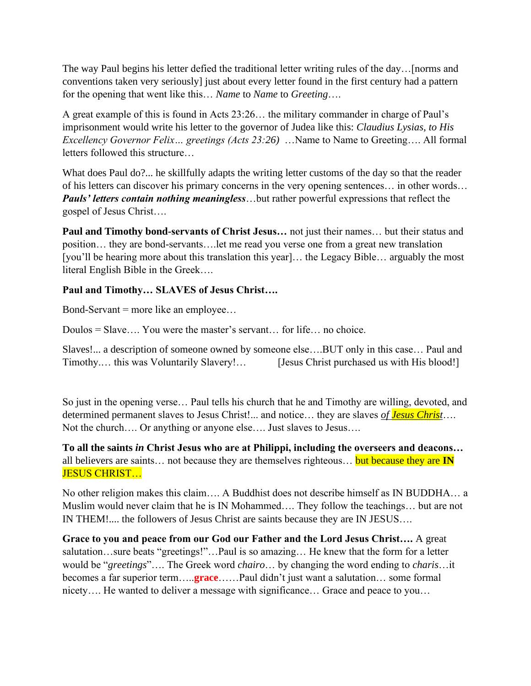The way Paul begins his letter defied the traditional letter writing rules of the day…[norms and conventions taken very seriously] just about every letter found in the first century had a pattern for the opening that went like this… *Name* to *Name* to *Greeting*….

A great example of this is found in Acts 23:26… the military commander in charge of Paul's imprisonment would write his letter to the governor of Judea like this: *Claudius Lysias, to His Excellency Governor Felix… greetings (Acts 23:26)* …Name to Name to Greeting…. All formal letters followed this structure…

What does Paul do?... he skillfully adapts the writing letter customs of the day so that the reader of his letters can discover his primary concerns in the very opening sentences… in other words… *Pauls' letters contain nothing meaningless*…but rather powerful expressions that reflect the gospel of Jesus Christ….

**Paul and Timothy bond-servants of Christ Jesus…** not just their names… but their status and position… they are bond-servants….let me read you verse one from a great new translation [you'll be hearing more about this translation this year]... the Legacy Bible... arguably the most literal English Bible in the Greek….

### **Paul and Timothy… SLAVES of Jesus Christ….**

Bond-Servant = more like an employee…

Doulos = Slave…. You were the master's servant… for life… no choice.

Slaves!... a description of someone owned by someone else….BUT only in this case… Paul and Timothy.... this was Voluntarily Slavery!... [Jesus Christ purchased us with His blood!]

So just in the opening verse… Paul tells his church that he and Timothy are willing, devoted, and determined permanent slaves to Jesus Christ!... and notice… they are slaves *of Jesus Christ*…. Not the church…. Or anything or anyone else…. Just slaves to Jesus….

**To all the saints** *in* **Christ Jesus who are at Philippi, including the overseers and deacons…**  all believers are saints… not because they are themselves righteous… but because they are **IN**  JESUS CHRIST…

No other religion makes this claim…. A Buddhist does not describe himself as IN BUDDHA… a Muslim would never claim that he is IN Mohammed…. They follow the teachings… but are not IN THEM!.... the followers of Jesus Christ are saints because they are IN JESUS….

**Grace to you and peace from our God our Father and the Lord Jesus Christ….** A great salutation…sure beats "greetings!"…Paul is so amazing… He knew that the form for a letter would be "*greetings*"…. The Greek word *chairo*… by changing the word ending to *charis*…it becomes a far superior term…..**grace**……Paul didn't just want a salutation… some formal nicety…. He wanted to deliver a message with significance… Grace and peace to you…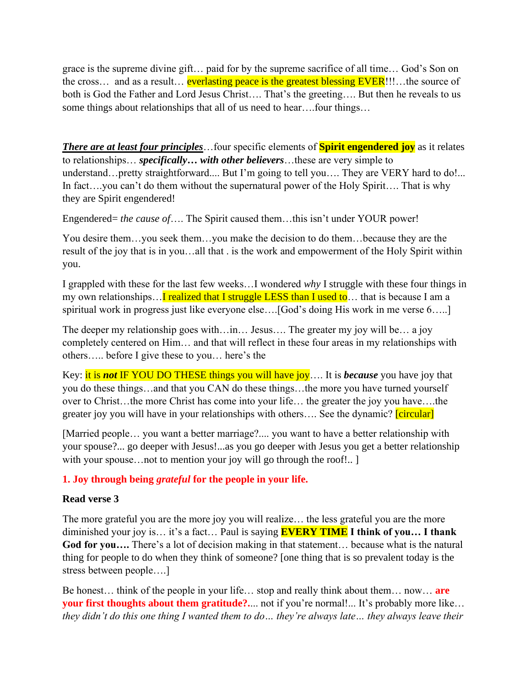grace is the supreme divine gift… paid for by the supreme sacrifice of all time… God's Son on the cross… and as a result… everlasting peace is the greatest blessing EVER!!!…the source of both is God the Father and Lord Jesus Christ…. That's the greeting…. But then he reveals to us some things about relationships that all of us need to hear….four things…

*There are at least four principles*…four specific elements of **Spirit engendered joy** as it relates to relationships… *specifically… with other believers*…these are very simple to understand...pretty straightforward.... But I'm going to tell you.... They are VERY hard to do!... In fact…you can't do them without the supernatural power of the Holy Spirit…. That is why they are Spirit engendered!

Engendered= *the cause of*…. The Spirit caused them…this isn't under YOUR power!

You desire them…you seek them…you make the decision to do them…because they are the result of the joy that is in you…all that . is the work and empowerment of the Holy Spirit within you.

I grappled with these for the last few weeks…I wondered *why* I struggle with these four things in my own relationships... **I** realized that I struggle LESS than I used to... that is because I am a spiritual work in progress just like everyone else….[God's doing His work in me verse 6…..]

The deeper my relationship goes with…in… Jesus…. The greater my joy will be… a joy completely centered on Him… and that will reflect in these four areas in my relationships with others….. before I give these to you… here's the

Key: it is *not* IF YOU DO THESE things you will have joy…. It is *because* you have joy that you do these things…and that you CAN do these things…the more you have turned yourself over to Christ…the more Christ has come into your life… the greater the joy you have….the greater joy you will have in your relationships with others.... See the dynamic? **[circular]** 

[Married people… you want a better marriage?.... you want to have a better relationship with your spouse?... go deeper with Jesus!...as you go deeper with Jesus you get a better relationship with your spouse…not to mention your joy will go through the roof!.. ]

### **1. Joy through being** *grateful* **for the people in your life.**

#### **Read verse 3**

The more grateful you are the more joy you will realize… the less grateful you are the more diminished your joy is… it's a fact… Paul is saying **EVERY TIME I think of you… I thank God for you….** There's a lot of decision making in that statement… because what is the natural thing for people to do when they think of someone? [one thing that is so prevalent today is the stress between people….]

Be honest… think of the people in your life… stop and really think about them… now… **are your first thoughts about them gratitude?....** not if you're normal!... It's probably more like... *they didn't do this one thing I wanted them to do… they're always late… they always leave their*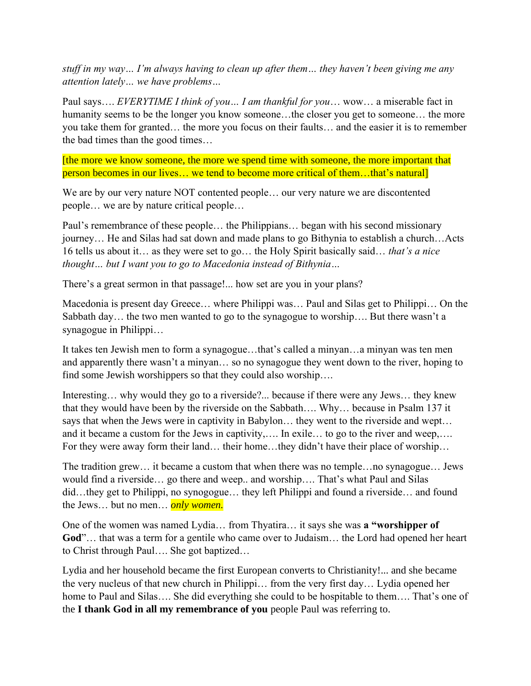*stuff in my way… I'm always having to clean up after them… they haven't been giving me any attention lately… we have problems…* 

Paul says…. *EVERYTIME I think of you… I am thankful for you*… wow… a miserable fact in humanity seems to be the longer you know someone…the closer you get to someone… the more you take them for granted… the more you focus on their faults… and the easier it is to remember the bad times than the good times…

[the more we know someone, the more we spend time with someone, the more important that person becomes in our lives… we tend to become more critical of them…that's natural]

We are by our very nature NOT contented people… our very nature we are discontented people… we are by nature critical people…

Paul's remembrance of these people… the Philippians… began with his second missionary journey… He and Silas had sat down and made plans to go Bithynia to establish a church…Acts 16 tells us about it… as they were set to go… the Holy Spirit basically said… *that's a nice thought… but I want you to go to Macedonia instead of Bithynia…* 

There's a great sermon in that passage!... how set are you in your plans?

Macedonia is present day Greece… where Philippi was… Paul and Silas get to Philippi… On the Sabbath day… the two men wanted to go to the synagogue to worship…. But there wasn't a synagogue in Philippi…

It takes ten Jewish men to form a synagogue…that's called a minyan…a minyan was ten men and apparently there wasn't a minyan… so no synagogue they went down to the river, hoping to find some Jewish worshippers so that they could also worship....

Interesting… why would they go to a riverside?... because if there were any Jews… they knew that they would have been by the riverside on the Sabbath…. Why… because in Psalm 137 it says that when the Jews were in captivity in Babylon… they went to the riverside and wept… and it became a custom for the Jews in captivity,…. In exile… to go to the river and weep,…. For they were away form their land… their home…they didn't have their place of worship…

The tradition grew… it became a custom that when there was no temple…no synagogue… Jews would find a riverside… go there and weep.. and worship…. That's what Paul and Silas did…they get to Philippi, no synogogue… they left Philippi and found a riverside… and found the Jews… but no men… *only women.*

One of the women was named Lydia… from Thyatira… it says she was **a "worshipper of God**"… that was a term for a gentile who came over to Judaism… the Lord had opened her heart to Christ through Paul…. She got baptized…

Lydia and her household became the first European converts to Christianity!... and she became the very nucleus of that new church in Philippi… from the very first day… Lydia opened her home to Paul and Silas…. She did everything she could to be hospitable to them…. That's one of the **I thank God in all my remembrance of you** people Paul was referring to.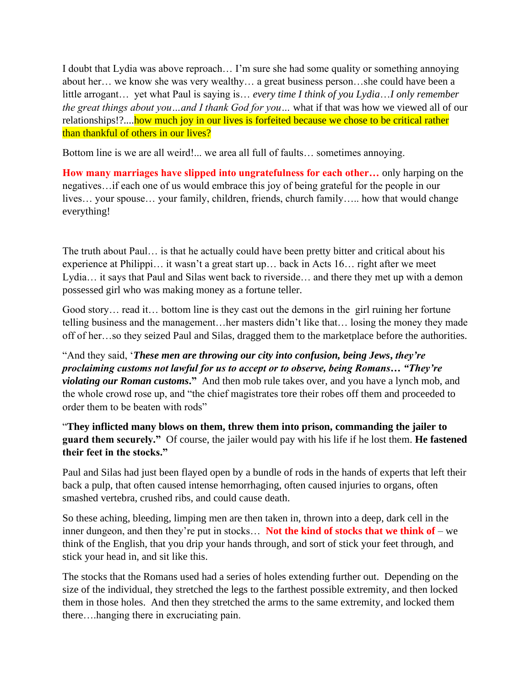I doubt that Lydia was above reproach… I'm sure she had some quality or something annoying about her… we know she was very wealthy… a great business person…she could have been a little arrogant… yet what Paul is saying is… *every time I think of you Lydia*…*I only remember the great things about you…and I thank God for you…* what if that was how we viewed all of our relationships!?....how much joy in our lives is forfeited because we chose to be critical rather than thankful of others in our lives?

Bottom line is we are all weird!... we area all full of faults… sometimes annoying.

**How many marriages have slipped into ungratefulness for each other…** only harping on the negatives…if each one of us would embrace this joy of being grateful for the people in our lives… your spouse… your family, children, friends, church family….. how that would change everything!

The truth about Paul… is that he actually could have been pretty bitter and critical about his experience at Philippi… it wasn't a great start up… back in Acts 16… right after we meet Lydia… it says that Paul and Silas went back to riverside… and there they met up with a demon possessed girl who was making money as a fortune teller.

Good story… read it… bottom line is they cast out the demons in the girl ruining her fortune telling business and the management…her masters didn't like that… losing the money they made off of her…so they seized Paul and Silas, dragged them to the marketplace before the authorities.

"And they said, '*These men are throwing our city into confusion, being Jews***,** *they're proclaiming customs not lawful for us to accept or to observe, being Romans… "They're violating our Roman customs***."** And then mob rule takes over, and you have a lynch mob, and the whole crowd rose up, and "the chief magistrates tore their robes off them and proceeded to order them to be beaten with rods"

"**They inflicted many blows on them, threw them into prison, commanding the jailer to guard them securely."** Of course, the jailer would pay with his life if he lost them. **He fastened their feet in the stocks."**

Paul and Silas had just been flayed open by a bundle of rods in the hands of experts that left their back a pulp, that often caused intense hemorrhaging, often caused injuries to organs, often smashed vertebra, crushed ribs, and could cause death.

So these aching, bleeding, limping men are then taken in, thrown into a deep, dark cell in the inner dungeon, and then they're put in stocks… **Not the kind of stocks that we think of** – we think of the English, that you drip your hands through, and sort of stick your feet through, and stick your head in, and sit like this.

The stocks that the Romans used had a series of holes extending further out. Depending on the size of the individual, they stretched the legs to the farthest possible extremity, and then locked them in those holes. And then they stretched the arms to the same extremity, and locked them there….hanging there in excruciating pain.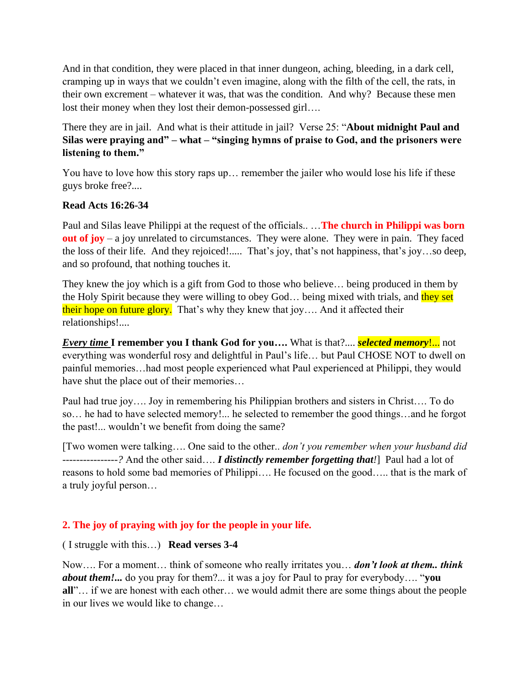And in that condition, they were placed in that inner dungeon, aching, bleeding, in a dark cell, cramping up in ways that we couldn't even imagine, along with the filth of the cell, the rats, in their own excrement – whatever it was, that was the condition. And why? Because these men lost their money when they lost their demon-possessed girl….

There they are in jail. And what is their attitude in jail? Verse 25: "**About midnight Paul and Silas were praying and" – what – "singing hymns of praise to God, and the prisoners were listening to them."**

You have to love how this story raps up… remember the jailer who would lose his life if these guys broke free?....

### **Read Acts 16:26-34**

Paul and Silas leave Philippi at the request of the officials.. …**The church in Philippi was born out of joy** – a joy unrelated to circumstances. They were alone. They were in pain. They faced the loss of their life. And they rejoiced!..... That's joy, that's not happiness, that's joy…so deep, and so profound, that nothing touches it.

They knew the joy which is a gift from God to those who believe… being produced in them by the Holy Spirit because they were willing to obey God... being mixed with trials, and they set their hope on future glory. That's why they knew that joy.... And it affected their relationships!....

*Every time* **I remember you I thank God for you….** What is that?.... *selected memory*!... not everything was wonderful rosy and delightful in Paul's life… but Paul CHOSE NOT to dwell on painful memories…had most people experienced what Paul experienced at Philippi, they would have shut the place out of their memories…

Paul had true joy…. Joy in remembering his Philippian brothers and sisters in Christ…. To do so… he had to have selected memory!... he selected to remember the good things…and he forgot the past!... wouldn't we benefit from doing the same?

[Two women were talking…. One said to the other.. *don't you remember when your husband did ----------------?* And the other said…. *I distinctly remember forgetting that!*]Paul had a lot of reasons to hold some bad memories of Philippi…. He focused on the good….. that is the mark of a truly joyful person…

# **2. The joy of praying with joy for the people in your life.**

### ( I struggle with this…) **Read verses 3-4**

Now…. For a moment… think of someone who really irritates you… *don't look at them.. think about them!...* do you pray for them?... it was a joy for Paul to pray for everybody…. "**you all**"… if we are honest with each other… we would admit there are some things about the people in our lives we would like to change…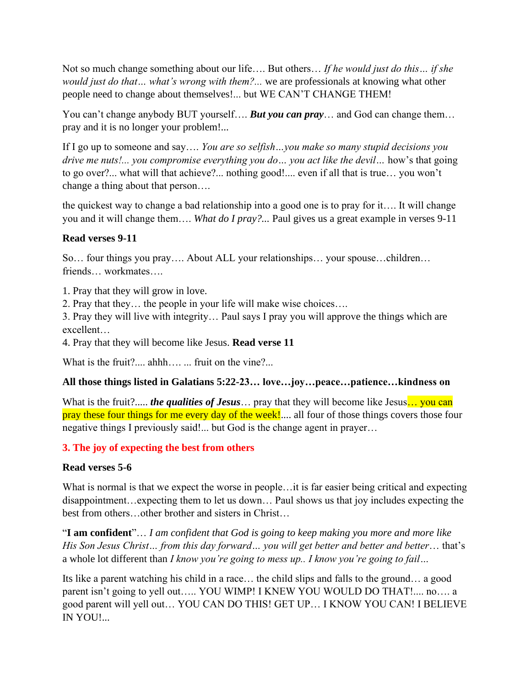Not so much change something about our life…. But others… *If he would just do this… if she would just do that… what's wrong with them?...* we are professionals at knowing what other people need to change about themselves!... but WE CAN'T CHANGE THEM!

You can't change anybody BUT yourself.... **But you can pray**... and God can change them... pray and it is no longer your problem!...

If I go up to someone and say…. *You are so selfish…you make so many stupid decisions you drive me nuts!... you compromise everything you do… you act like the devil…* how's that going to go over?... what will that achieve?... nothing good!.... even if all that is true… you won't change a thing about that person….

the quickest way to change a bad relationship into a good one is to pray for it…. It will change you and it will change them…. *What do I pray?...* Paul gives us a great example in verses 9-11

### **Read verses 9-11**

So… four things you pray…. About ALL your relationships… your spouse…children… friends… workmates….

1. Pray that they will grow in love.

2. Pray that they… the people in your life will make wise choices….

3. Pray they will live with integrity… Paul says I pray you will approve the things which are excellent…

4. Pray that they will become like Jesus. **Read verse 11**

What is the fruit?.... ahhh…..... fruit on the vine?...

### **All those things listed in Galatians 5:22-23… love…joy…peace…patience…kindness on**

What is the fruit?..... *the qualities of Jesus* ... pray that they will become like Jesus... you can pray these four things for me every day of the week!.... all four of those things covers those four negative things I previously said!... but God is the change agent in prayer…

# **3. The joy of expecting the best from others**

### **Read verses 5-6**

What is normal is that we expect the worse in people... it is far easier being critical and expecting disappointment…expecting them to let us down… Paul shows us that joy includes expecting the best from others…other brother and sisters in Christ…

"**I am confident**"… *I am confident that God is going to keep making you more and more like His Son Jesus Christ… from this day forward… you will get better and better and better*… that's a whole lot different than *I know you're going to mess up.. I know you're going to fail…*

Its like a parent watching his child in a race… the child slips and falls to the ground… a good parent isn't going to yell out….. YOU WIMP! I KNEW YOU WOULD DO THAT!.... no…. a good parent will yell out… YOU CAN DO THIS! GET UP… I KNOW YOU CAN! I BELIEVE IN YOU!...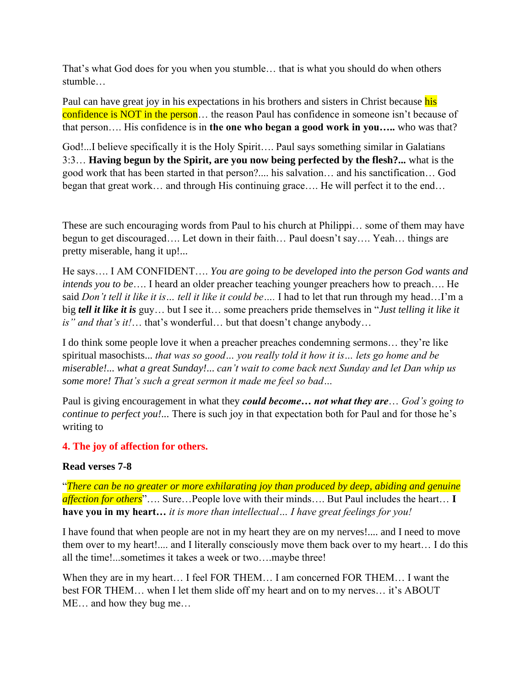That's what God does for you when you stumble… that is what you should do when others stumble…

Paul can have great joy in his expectations in his brothers and sisters in Christ because his confidence is NOT in the person... the reason Paul has confidence in someone isn't because of that person…. His confidence is in **the one who began a good work in you…..** who was that?

God!...I believe specifically it is the Holy Spirit…. Paul says something similar in Galatians 3:3… **Having begun by the Spirit, are you now being perfected by the flesh?...** what is the good work that has been started in that person?.... his salvation… and his sanctification… God began that great work… and through His continuing grace…. He will perfect it to the end…

These are such encouraging words from Paul to his church at Philippi… some of them may have begun to get discouraged…. Let down in their faith… Paul doesn't say…. Yeah… things are pretty miserable, hang it up!...

He says…. I AM CONFIDENT…. *You are going to be developed into the person God wants and intends you to be*…. I heard an older preacher teaching younger preachers how to preach…. He said *Don't tell it like it is… tell it like it could be….* I had to let that run through my head…I'm a big *tell it like it is* guy… but I see it… some preachers pride themselves in "*Just telling it like it is" and that's it!*… that's wonderful… but that doesn't change anybody…

I do think some people love it when a preacher preaches condemning sermons… they're like spiritual masochists... *that was so good… you really told it how it is… lets go home and be miserable!... what a great Sunday!*... *can't wait to come back next Sunday and let Dan whip us some more! That's such a great sermon it made me feel so bad…* 

Paul is giving encouragement in what they *could become… not what they are*… *God's going to continue to perfect you!...* There is such joy in that expectation both for Paul and for those he's writing to

### **4. The joy of affection for others.**

#### **Read verses 7-8**

"*There can be no greater or more exhilarating joy than produced by deep, abiding and genuine affection for others*"…. Sure…People love with their minds…. But Paul includes the heart… **I have you in my heart…** *it is more than intellectual… I have great feelings for you!*

I have found that when people are not in my heart they are on my nerves!.... and I need to move them over to my heart!.... and I literally consciously move them back over to my heart… I do this all the time!...sometimes it takes a week or two….maybe three!

When they are in my heart… I feel FOR THEM… I am concerned FOR THEM… I want the best FOR THEM… when I let them slide off my heart and on to my nerves… it's ABOUT ME… and how they bug me…